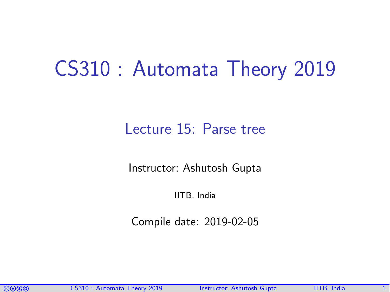# CS310 : Automata Theory 2019

## Lecture 15: Parse tree

Instructor: [Ashutosh Gupta](http://www.cse.iitb.ac.in/~akg/)

IITB, India

Compile date: 2019-02-05

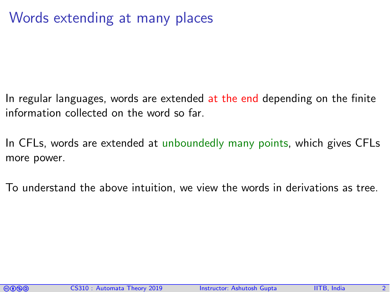# Words extending at many places

In regular languages, words are extended at the end depending on the finite information collected on the word so far.

In CFLs, words are extended at unboundedly many points, which gives CFLs more power.

To understand the above intuition, we view the words in derivations as tree.

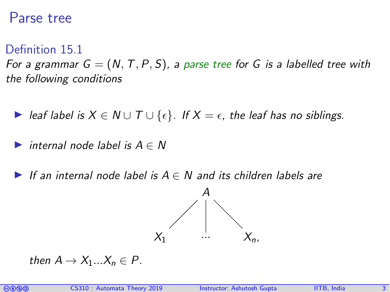### Parse tree

#### Definition 15.1

For a grammar  $G = (N, T, P, S)$ , a parse tree for G is a labelled tree with the following conditions

- $\triangleright$  leaf label is  $X \in \mathbb{N} \cup \mathbb{T} \cup \{\epsilon\}$ . If  $X = \epsilon$ , the leaf has no siblings.
- internal node label is  $A \in N$
- If an internal node label is  $A \in N$  and its children labels are



then  $A \rightarrow X_1...X_n \in P$ .

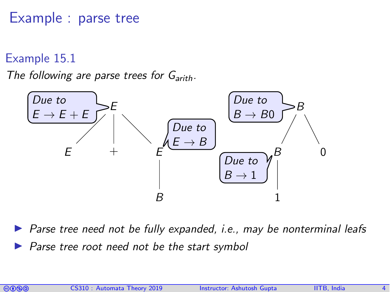Example : parse tree

Example 15.1

The following are parse trees for  $G_{arith}$ .



Parse tree need not be fully expanded, *i.e.*, may be nonterminal leafs Parse tree root need not be the start symbol

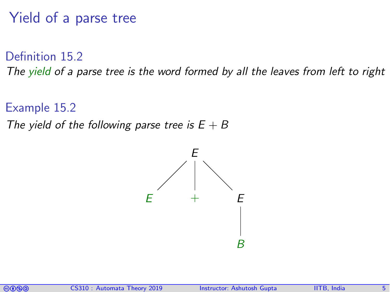# Yield of a parse tree

Definition 15.2 The yield of a parse tree is the word formed by all the leaves from left to right

Example 15.2 The yield of the following parse tree is  $E + B$ 



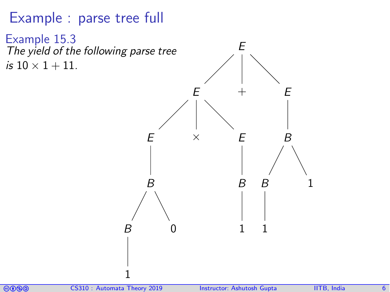Example : parse tree full

Example 15.3 The yield of the following parse tree is  $10 \times 1 + 11$ . E E E B B 1  $\cup$  $\times$  E B 1  $+$  E B B 1 1

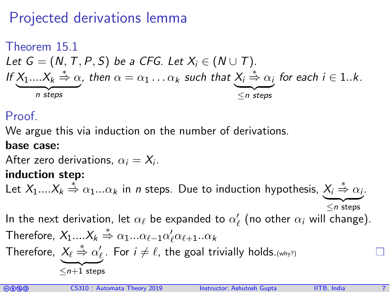# Projected derivations lemma

Theorem 15.1  
Let 
$$
G = (N, T, P, S)
$$
 be a CFG. Let  $X_i \in (N \cup T)$ .  
If  $X_1...X_k \stackrel{*}{\Rightarrow} \alpha$ , then  $\alpha = \alpha_1 ... \alpha_k$  such that  $X_i \stackrel{*}{\Rightarrow} \alpha_i$  for each  $i \in 1..k$ .

#### Proof.

We argue this via induction on the number of derivations.

#### base case:

After zero derivations,  $\alpha_i = X_i$ .

#### induction step:

Let  $X_1....X_k \stackrel{*}{\Rightarrow} \alpha_1...\alpha_k$  in *n* steps. Due to induction hypothesis,  $X_i \stackrel{*}{\Rightarrow} \alpha_i$ .

 $\leq n$  steps In the next derivation, let  $\alpha_\ell$  be expanded to  $\alpha'_\ell$  (no other  $\alpha_i$  will change). Therefore,  $X_1....X_k \overset{*}{\Rightarrow} \alpha_1...\alpha_{\ell-1}\alpha_\ell'\alpha_{\ell+1}..\alpha_k$ Therefore,  $X_{\ell} \overset{*}{\Rightarrow} \alpha_{\ell}'$ . For  $i \neq \ell$ , the goal trivially holds. $\scriptstyle(\mathsf{wny?})$  $\leq n+1$  steps

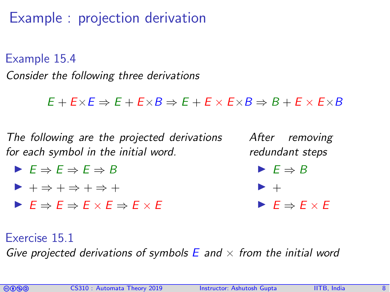Example : projection derivation

Example 15.4 Consider the following three derivations

 $E + E \times E \Rightarrow E + E \times B \Rightarrow E + E \times E \times B \Rightarrow B + E \times E \times B$ 

The following are the projected derivations for each symbol in the initial word.

- $\blacktriangleright$   $E \Rightarrow E \Rightarrow E \Rightarrow B$
- $\blacktriangleright$  +  $\Rightarrow$  +  $\Rightarrow$  +  $\Rightarrow$  +
- $\blacktriangleright$   $F \Rightarrow F \Rightarrow F \times F \Rightarrow F \times F$

After removing redundant steps

 $\blacktriangleright$   $E \Rightarrow B$ 

 $\blacktriangleright$  +

$$
\blacktriangleright E \Rightarrow E \times E
$$

Exercise 15.1

Give projected derivations of symbols  $E$  and  $\times$  from the initial word

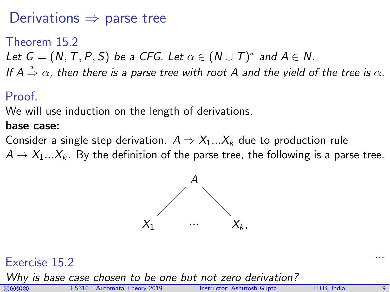# Derivations  $\Rightarrow$  parse tree

Theorem 15.2

- <span id="page-8-0"></span>Let  $G = (N, T, P, S)$  be a CFG. Let  $\alpha \in (N \cup T)^*$  and  $A \in N$ .
- If  $A\overset{*}{\Rightarrow}\alpha$ , then there is a parse tree with root  $A$  and the yield of the tree is  $\alpha.$

### Proof.

We will use induction on the length of derivations.

#### base case:

Consider a single step derivation.  $A \Rightarrow X_1...X_k$  due to production rule  $A \rightarrow X_1...X_k$ . By the definition of the parse tree, the following is a parse tree.



# ... Exercise 15.2

Why is base case chosen to be one but not zero derivation?

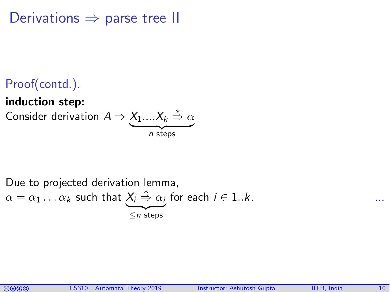Derivations  $\Rightarrow$  parse tree II

# Proof(contd.).

#### induction step:

Consider derivation  $A \Rightarrow X_1....X_k \stackrel{*}{\Rightarrow} \alpha$  $n$  steps



Due to projected derivation lemma,  
\n
$$
\alpha = \alpha_1 \dots \alpha_k
$$
 such that  $\underbrace{X_i \overset{*}{\Rightarrow} \alpha_i}_{\leq n \text{ steps}}$  for each  $i \in 1..k$ .

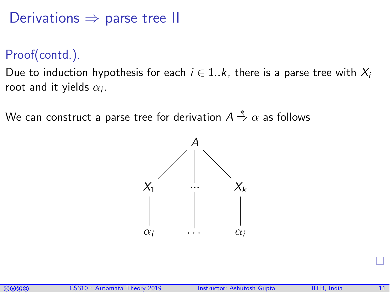Derivations  $\Rightarrow$  parse tree II

Proof(contd.).

Due to induction hypothesis for each  $i \in 1..k$ , there is a parse tree with  $X_i$ root and it yields  $\alpha_i$ .

We can construct a parse tree for derivation  $A\overset{*}{\Rightarrow}\alpha$  as follows

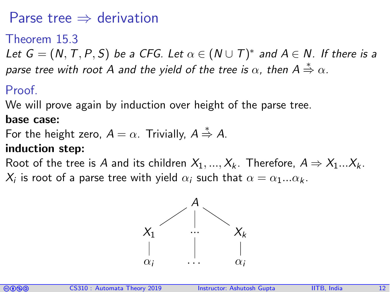# Parse tree  $\Rightarrow$  derivation

#### Theorem 15.3

<span id="page-11-0"></span>Let  $G = (N, T, P, S)$  be a CFG. Let  $\alpha \in (N \cup T)^*$  and  $A \in N$ . If there is a parse tree with root A and the yield of the tree is  $\alpha$ , then  $\mathsf{A}\overset{*}{\Rightarrow}\alpha.$ 

#### Proof.

We will prove again by induction over height of the parse tree.

#### base case:

For the height zero,  $A = \alpha$ . Trivially,  $A \stackrel{*}{\Rightarrow} A$ .

#### induction step:

Root of the tree is A and its children  $X_1, ..., X_k$ . Therefore,  $A \Rightarrow X_1...X_k$ .  $\mathcal{X}_i$  is root of a parse tree with yield  $\alpha_i$  such that  $\alpha=\alpha_1...\alpha_k.$ 



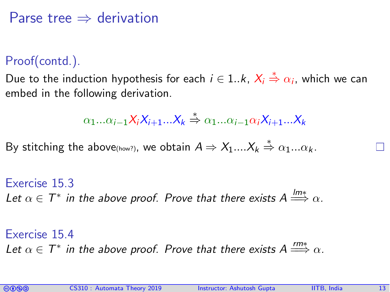## Parse tree  $\Rightarrow$  derivation

#### Proof(contd.).

Due to the induction hypothesis for each  $i\in {1..k},~\mathsf{X}_i\overset{*}{\Rightarrow}\alpha_i,$  which we can embed in the following derivation.

$$
\alpha_1...\alpha_{i-1}X_iX_{i+1}...X_k \stackrel{*}{\Rightarrow} \alpha_1...\alpha_{i-1}\alpha_iX_{i+1}...X_k
$$

By stitching the above(how?), we obtain  $A \Rightarrow X_1....X_k \stackrel{*}{\Rightarrow} \alpha_1...\alpha_k.$ 

Exercise 15.3 Let  $\alpha \in \mathcal{T}^*$  in the above proof. Prove that there exists  $A \stackrel{lm*}{\Longrightarrow} \alpha.$ 

Exercise 15.4 Let  $\alpha \in \mathcal{T}^*$  in the above proof. Prove that there exists  $A \stackrel{rm*}{\Longrightarrow} \alpha$ .

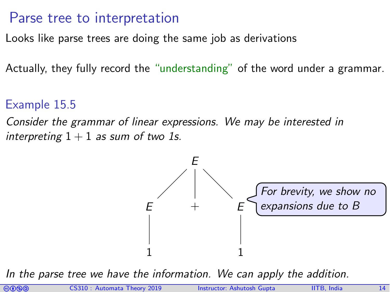## Parse tree to interpretation

Looks like parse trees are doing the same job as derivations

Actually, they fully record the "understanding" of the word under a grammar.

#### Example 15.5

Consider the grammar of linear expressions. We may be interested in interpreting  $1 + 1$  as sum of two 1s.



In the parse tree we have the information. We can apply the addition.

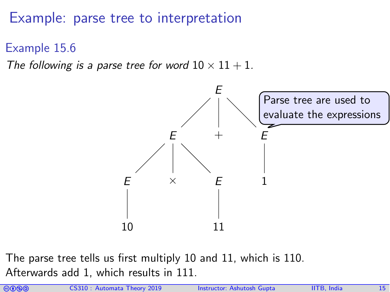# Example: parse tree to interpretation

Example 15.6

The following is a parse tree for word  $10 \times 11 + 1$ .



The parse tree tells us first multiply 10 and 11, which is 110. Afterwards add 1, which results in 111.

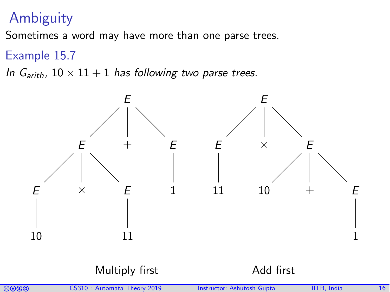# Ambiguity

Sometimes a word may have more than one parse trees.

#### Example 15.7

In  $G_{arith}$ ,  $10 \times 11 + 1$  has following two parse trees.



#### Multiply first **Add first**

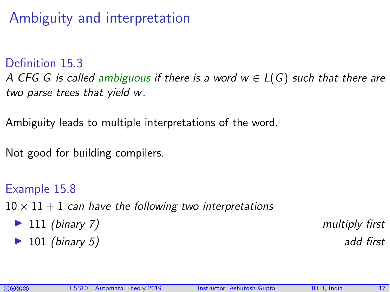Ambiguity and interpretation

Definition 15.3 A CFG G is called ambiguous if there is a word  $w \in L(G)$  such that there are two parse trees that yield w.

Ambiguity leads to multiple interpretations of the word.

Not good for building compilers.

Example 15.8  $10 \times 11 + 1$  can have the following two interpretations ▶ 111 (binary 7) multiply first  $\triangleright$  101 (binary 5) add first

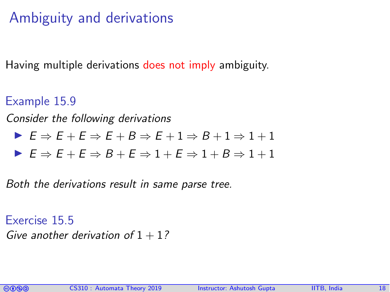# Ambiguity and derivations

Having multiple derivations does not imply ambiguity.

Example 15.9

Consider the following derivations

$$
\blacktriangleright E \Rightarrow E + E \Rightarrow E + B \Rightarrow E + 1 \Rightarrow B + 1 \Rightarrow 1 + 1
$$

$$
\blacktriangleright E \Rightarrow E + E \Rightarrow B + E \Rightarrow 1 + E \Rightarrow 1 + B \Rightarrow 1 + 1
$$

Both the derivations result in same parse tree.

Exercise 15.5 Give another derivation of  $1 + 1$ ?

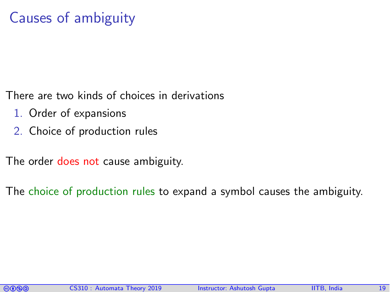There are two kinds of choices in derivations

- 1. Order of expansions
- 2. Choice of production rules

The order does not cause ambiguity.

The choice of production rules to expand a symbol causes the ambiguity.

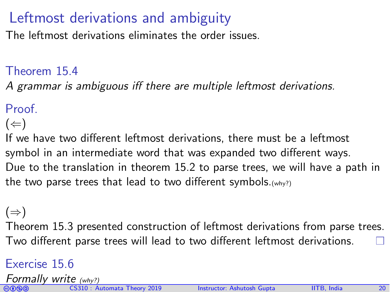# Leftmost derivations and ambiguity

The leftmost derivations eliminates the order issues.

#### Theorem 15.4

A grammar is ambiguous iff there are multiple leftmost derivations.

**Proof** 

 $(\Leftarrow)$ 

If we have two different leftmost derivations, there must be a leftmost symbol in an intermediate word that was expanded two different ways. Due to the translation in theorem [15.2](#page-8-0) to parse trees, we will have a path in the two parse trees that lead to two different symbols.  $(why?)$ 

 $(\Rightarrow)$ 

Theorem [15.3](#page-11-0) presented construction of leftmost derivations from parse trees. Two different parse trees will lead to two different leftmost derivations. . .

#### Exercise 15.6

Formally write (why?)

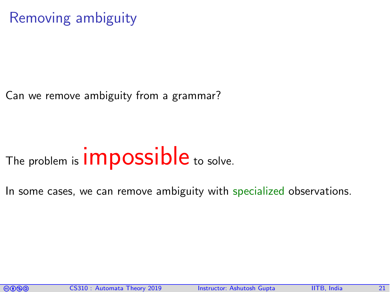# Removing ambiguity

Can we remove ambiguity from a grammar?

# The problem is **impossible** to solve.

In some cases, we can remove ambiguity with specialized observations.

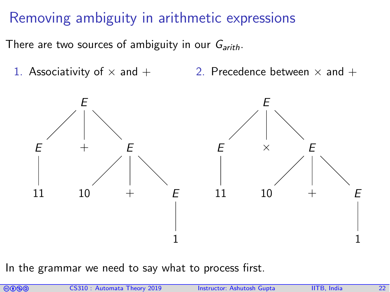# Removing ambiguity in arithmetic expressions

There are two sources of ambiguity in our  $G_{arith}$ .

1. Associativity of  $\times$  and  $+$ 2. Precedence between  $\times$  and  $+$ 



In the grammar we need to say what to process first.

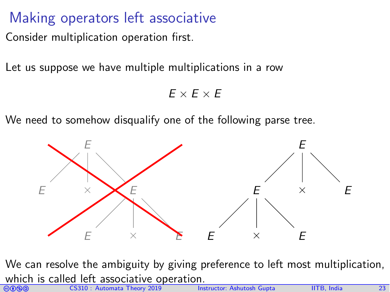# Making operators left associative

Consider multiplication operation first.

Let us suppose we have multiple multiplications in a row

 $E \times F \times F$ 

We need to somehow disqualify one of the following parse tree.



GOOO CS310 : Automata Theory 2019 Instructor: [Ashutosh Gupta](http://www.cse.iitb.ac.in/~akg/) IITB, India 23 We can resolve the ambiguity by giving preference to left most multiplication, which is called left associative operation.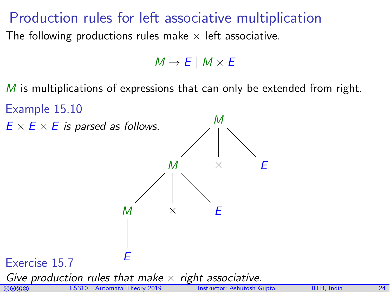# Production rules for left associative multiplication

The following productions rules make  $\times$  left associative.

 $M \rightarrow E \mid M \times E$ 

M is multiplications of expressions that can only be extended from right.

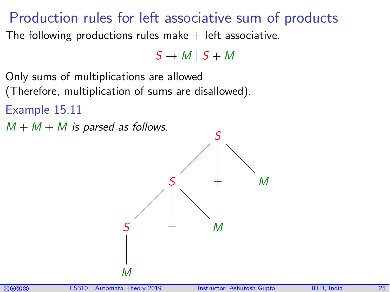# Production rules for left associative sum of products

The following productions rules make  $+$  left associative.

 $S \rightarrow M \mid S + M$ 

Only sums of multiplications are allowed

(Therefore, multiplication of sums are disallowed).

Example 15.11

 $M + M + M$  is parsed as follows.



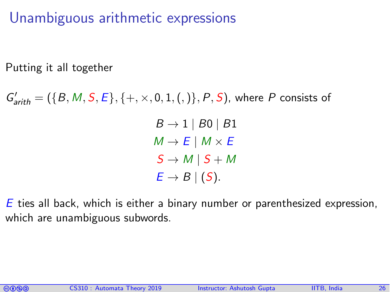Unambiguous arithmetic expressions

Putting it all together

 $G'_{arith} = (\{B, M, S, E\}, \{+, \times, 0, 1, (,) \}, P, S)$ , where P consists of

 $B \rightarrow 1 \mid B0 \mid B1$  $M \rightarrow E \mid M \times E$  $S \rightarrow M \mid S + M$  $E \rightarrow B \mid (S)$ .

E ties all back, which is either a binary number or parenthesized expression, which are unambiguous subwords.

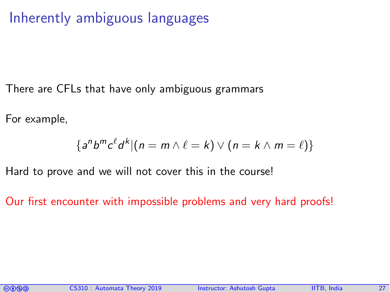# Inherently ambiguous languages

There are CFLs that have only ambiguous grammars

For example,

$$
\{a^n b^m c^{\ell} d^k | (n = m \wedge \ell = k) \vee (n = k \wedge m = \ell)\}
$$

Hard to prove and we will not cover this in the course!

Our first encounter with impossible problems and very hard proofs!